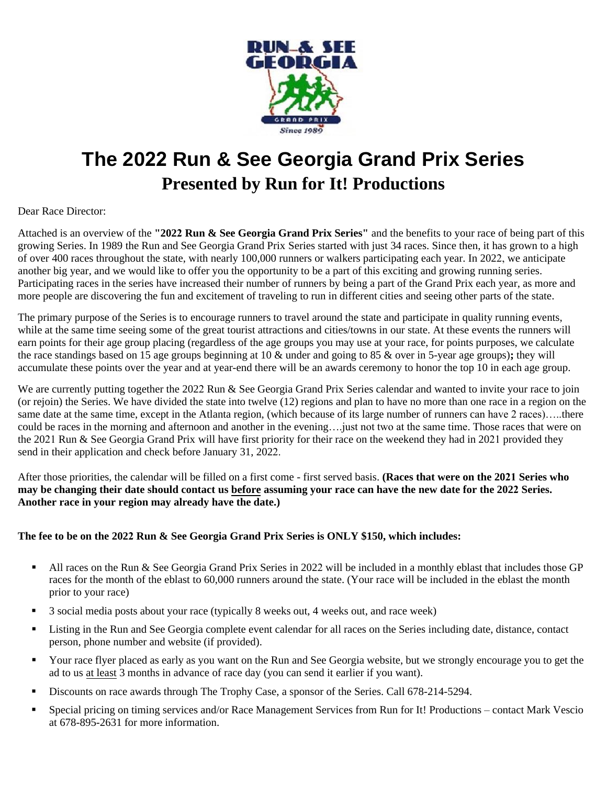

## **The 2022 Run & See Georgia Grand Prix Series Presented by Run for It! Productions**

#### Dear Race Director:

Attached is an overview of the **"2022 Run & See Georgia Grand Prix Series"** and the benefits to your race of being part of this growing Series. In 1989 the Run and See Georgia Grand Prix Series started with just 34 races. Since then, it has grown to a high of over 400 races throughout the state, with nearly 100,000 runners or walkers participating each year. In 2022, we anticipate another big year, and we would like to offer you the opportunity to be a part of this exciting and growing running series. Participating races in the series have increased their number of runners by being a part of the Grand Prix each year, as more and more people are discovering the fun and excitement of traveling to run in different cities and seeing other parts of the state.

The primary purpose of the Series is to encourage runners to travel around the state and participate in quality running events, while at the same time seeing some of the great tourist attractions and cities/towns in our state. At these events the runners will earn points for their age group placing (regardless of the age groups you may use at your race, for points purposes, we calculate the race standings based on 15 age groups beginning at 10 & under and going to 85 & over in 5-year age groups)**;** they will accumulate these points over the year and at year-end there will be an awards ceremony to honor the top 10 in each age group.

We are currently putting together the 2022 Run & See Georgia Grand Prix Series calendar and wanted to invite your race to join (or rejoin) the Series. We have divided the state into twelve (12) regions and plan to have no more than one race in a region on the same date at the same time, except in the Atlanta region, (which because of its large number of runners can have 2 races)…..there could be races in the morning and afternoon and another in the evening….just not two at the same time. Those races that were on the 2021 Run & See Georgia Grand Prix will have first priority for their race on the weekend they had in 2021 provided they send in their application and check before January 31, 2022.

After those priorities, the calendar will be filled on a first come - first served basis. **(Races that were on the 2021 Series who may be changing their date should contact us before assuming your race can have the new date for the 2022 Series. Another race in your region may already have the date.)** 

#### **The fee to be on the 2022 Run & See Georgia Grand Prix Series is ONLY \$150, which includes:**

- All races on the Run & See Georgia Grand Prix Series in 2022 will be included in a monthly eblast that includes those GP races for the month of the eblast to 60,000 runners around the state. (Your race will be included in the eblast the month prior to your race)
- 3 social media posts about your race (typically 8 weeks out, 4 weeks out, and race week)
- Listing in the Run and See Georgia complete event calendar for all races on the Series including date, distance, contact person, phone number and website (if provided).
- Your race flyer placed as early as you want on the Run and See Georgia website, but we strongly encourage you to get the ad to us at least 3 months in advance of race day (you can send it earlier if you want).
- Discounts on race awards through The Trophy Case, a sponsor of the Series. Call 678-214-5294.
- Special pricing on timing services and/or Race Management Services from Run for It! Productions contact Mark Vescio at 678-895-2631 for more information.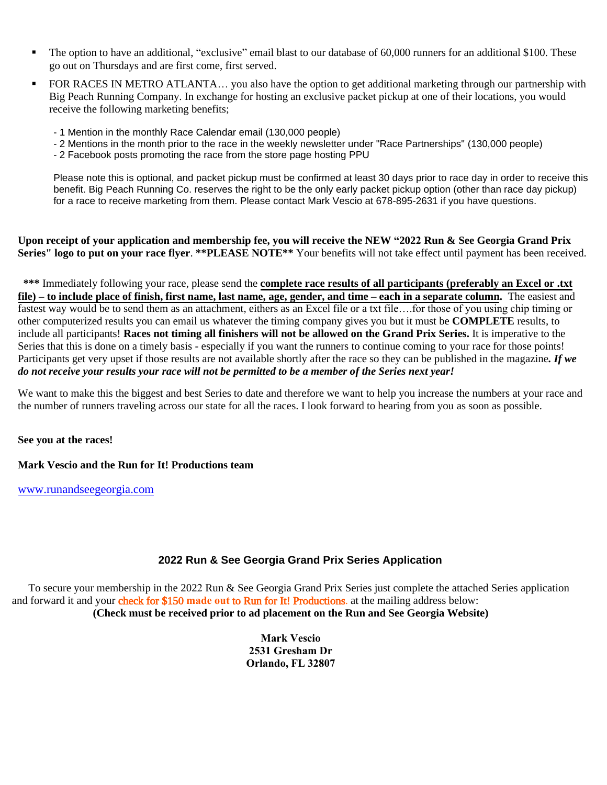- The option to have an additional, "exclusive" email blast to our database of 60,000 runners for an additional \$100. These go out on Thursdays and are first come, first served.
- FOR RACES IN METRO ATLANTA... you also have the option to get additional marketing through our partnership with Big Peach Running Company. In exchange for hosting an exclusive packet pickup at one of their locations, you would receive the following marketing benefits;
	- 1 Mention in the monthly Race Calendar email (130,000 people)
	- 2 Mentions in the month prior to the race in the weekly newsletter under "Race Partnerships" (130,000 people)
	- 2 Facebook posts promoting the race from the store page hosting PPU

Please note this is optional, and packet pickup must be confirmed at least 30 days prior to race day in order to receive this benefit. Big Peach Running Co. reserves the right to be the only early packet pickup option (other than race day pickup) for a race to receive marketing from them. Please contact Mark Vescio at 678-895-2631 if you have questions.

**Upon receipt of your application and membership fee, you will receive the NEW "2022 Run & See Georgia Grand Prix Series" logo to put on your race flyer**. **\*\*PLEASE NOTE\*\*** Your benefits will not take effect until payment has been received.

 **\*\*\*** Immediately following your race, please send the **complete race results of all participants (preferably an Excel or .txt file) – to include place of finish, first name, last name, age, gender, and time – each in a separate column.** The easiest and fastest way would be to send them as an attachment, eithers as an Excel file or a txt file….for those of you using chip timing or other computerized results you can email us whatever the timing company gives you but it must be **COMPLETE** results, to include all participants! **Races not timing all finishers will not be allowed on the Grand Prix Series.** It is imperative to the Series that this is done on a timely basis - especially if you want the runners to continue coming to your race for those points! Participants get very upset if those results are not available shortly after the race so they can be published in the magazine*. If we do not receive your results your race will not be permitted to be a member of the Series next year!* 

We want to make this the biggest and best Series to date and therefore we want to help you increase the numbers at your race and the number of runners traveling across our state for all the races. I look forward to hearing from you as soon as possible.

**See you at the races!** 

**Mark Vescio and the Run for It! Productions team**

[www.runandseegeorgia.com](http://www.runandseegeorgia.com/) 

### **2022 Run & See Georgia Grand Prix Series Application**

To secure your membership in the 2022 Run & See Georgia Grand Prix Series just complete the attached Series application and forward it and your check for \$150 **made out** to Run for It! Productions. at the mailing address below: **(Check must be received prior to ad placement on the Run and See Georgia Website)** 

> **Mark Vescio 2531 Gresham Dr Orlando, FL 32807**